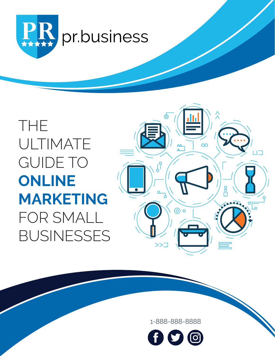

THE ULTIMATE GUIDE TO **ONLINE MARKETING**  FOR SMALL BUSINESSES



1-888-888-8888

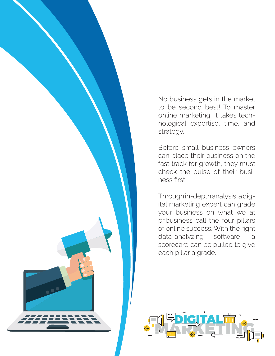No business gets in the market to be second best! To master online marketing, it takes technological expertise, time, and strategy.

Before small business owners can place their business on the fast track for growth, they must check the pulse of their business first.

Through in-depth analysis, a digital marketing expert can grade your business on what we at pr.business call the four pillars of online success. With the right data-analyzing software, a scorecard can be pulled to give each pillar a grade.

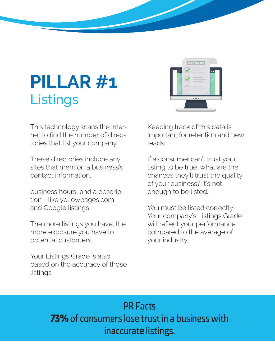# **PILLAR #1 Listings**



This technology scans the internet to find the number of directories that list your company.

These directories include any sites that mention a business's contact information,

business hours, and a description - like yellowpages.com and Google listings.

The more listings you have, the more exposure you have to potential customers.

Your Listings Grade is also based on the accuracy of those listings.

Keeping track of this data is important for retention and new leads.

If a consumer can't trust your listing to be true, what are the chances they'll trust the quality of your business? It's not enough to be listed.

You must be listed correctly! Your company's Listings Grade will reflect your performance compared to the average of your industry.

PR Facts 73% of consumers lose trust in a business with inaccurate listings.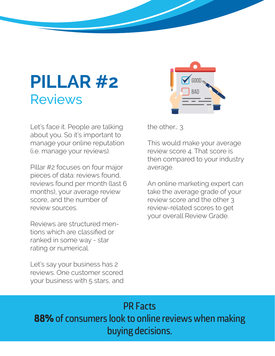## **PILLAR #2** Reviews

Let's face it. People are talking about you. So it's important to manage your online reputation (i.e. manage your reviews).

Pillar #2 focuses on four major pieces of data: reviews found, reviews found per month (last 6 months), your average review score, and the number of review sources.

Reviews are structured mentions which are classified or ranked in some way - star rating or numerical.

Let's say your business has 2 reviews. One customer scored your business with 5 stars, and



the other… 3.

This would make your average review score 4. That score is then compared to your industry average.

An online marketing expert can take the average grade of your review score and the other 3 review-related scores to get your overall Review Grade.

#### PR Facts 88% of consumers look to online reviews when making buying decisions.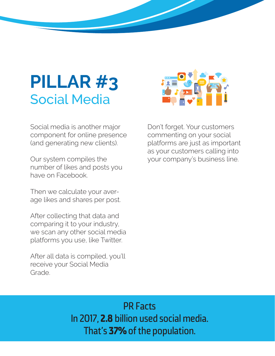## **PILLAR #3** Social Media



Social media is another major component for online presence (and generating new clients).

Our system compiles the number of likes and posts you have on Facebook.

Then we calculate your average likes and shares per post.

After collecting that data and comparing it to your industry, we scan any other social media platforms you use, like Twitter.

After all data is compiled, you'll receive your Social Media Grade.

Don't forget. Your customers commenting on your social platforms are just as important as your customers calling into your company's business line.

#### PR Facts In 2017, 2.8 billion used social media. That's 37% of the population.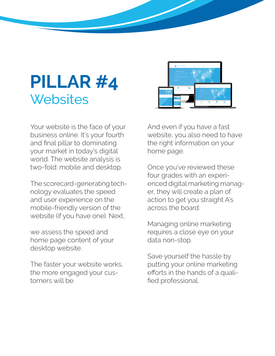## **PILLAR #4 Websites**



Your website is the face of your business online. It's your fourth and final pillar to dominating your market in today's digital world. The website analysis is two-fold: mobile and desktop.

The scorecard-generating technology evaluates the speed and user experience on the mobile-friendly version of the website (if you have one). Next,

we assess the speed and home page content of your desktop website.

The faster your website works, the more engaged your customers will be.

And even if you have a fast website, you also need to have the right information on your home page.

Once you've reviewed these four grades with an experienced digital marketing manager, they will create a plan of action to get you straight A's across the board.

Managing online marketing requires a close eye on your data non-stop.

Save yourself the hassle by putting your online marketing efforts in the hands of a qualified professional.